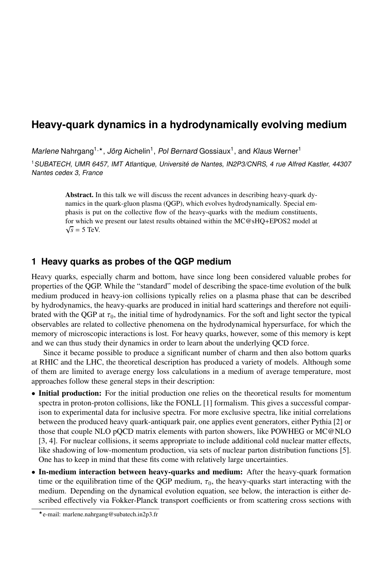# **Heavy-quark dynamics in a hydrodynamically evolving medium**

Marlene Nahrgang<sup>1,\*</sup>, Jörg Aichelin<sup>1</sup>, Pol Bernard Gossiaux<sup>1</sup>, and Klaus Werner<sup>1</sup>

<sup>1</sup>SUBATECH, UMR 6457, IMT Atlantique, Université de Nantes, IN2P3/CNRS, 4 rue Alfred Kastler, 44307 Nantes cedex 3, France

> Abstract. In this talk we will discuss the recent advances in describing heavy-quark dynamics in the quark-gluon plasma (QGP), which evolves hydrodynamically. Special emphasis is put on the collective flow of the heavy-quarks with the medium constituents, for which we present our latest results obtained within the MC@sHQ+EPOS2 model at √  $\sqrt{s}$  = 5 TeV.

## **1 Heavy quarks as probes of the QGP medium**

Heavy quarks, especially charm and bottom, have since long been considered valuable probes for properties of the QGP. While the "standard" model of describing the space-time evolution of the bulk medium produced in heavy-ion collisions typically relies on a plasma phase that can be described by hydrodynamics, the heavy-quarks are produced in initial hard scatterings and therefore not equilibrated with the QGP at  $\tau_0$ , the initial time of hydrodynamics. For the soft and light sector the typical observables are related to collective phenomena on the hydrodynamical hypersurface, for which the memory of microscopic interactions is lost. For heavy quarks, however, some of this memory is kept and we can thus study their dynamics in order to learn about the underlying QCD force.

Since it became possible to produce a significant number of charm and then also bottom quarks at RHIC and the LHC, the theoretical description has produced a variety of models. Although some of them are limited to average energy loss calculations in a medium of average temperature, most approaches follow these general steps in their description:

- Initial production: For the initial production one relies on the theoretical results for momentum spectra in proton-proton collisions, like the FONLL [1] formalism. This gives a successful comparison to experimental data for inclusive spectra. For more exclusive spectra, like initial correlations between the produced heavy quark-antiquark pair, one applies event generators, either Pythia [2] or those that couple NLO pQCD matrix elements with parton showers, like POWHEG or MC@NLO [3, 4]. For nuclear collisions, it seems appropriate to include additional cold nuclear matter effects, like shadowing of low-momentum production, via sets of nuclear parton distribution functions [5]. One has to keep in mind that these fits come with relatively large uncertainties.
- In-medium interaction between heavy-quarks and medium: After the heavy-quark formation time or the equilibration time of the QGP medium,  $\tau_0$ , the heavy-quarks start interacting with the medium. Depending on the dynamical evolution equation, see below, the interaction is either described effectively via Fokker-Planck transport coefficients or from scattering cross sections with

<sup>?</sup>e-mail: marlene.nahrgang@subatech.in2p3.fr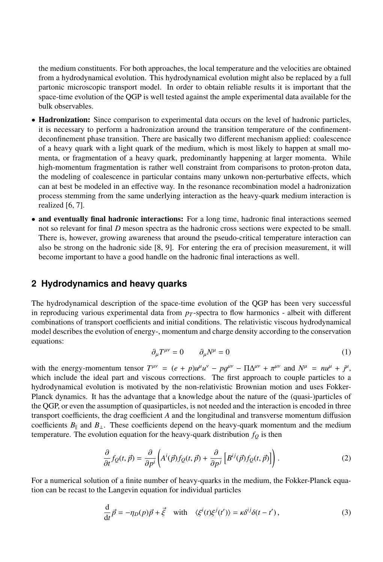the medium constituents. For both approaches, the local temperature and the velocities are obtained from a hydrodynamical evolution. This hydrodynamical evolution might also be replaced by a full partonic microscopic transport model. In order to obtain reliable results it is important that the space-time evolution of the QGP is well tested against the ample experimental data available for the bulk observables.

- Hadronization: Since comparison to experimental data occurs on the level of hadronic particles, it is necessary to perform a hadronization around the transition temperature of the confinementdeconfinement phase transition. There are basically two different mechanism applied: coalescence of a heavy quark with a light quark of the medium, which is most likely to happen at small momenta, or fragmentation of a heavy quark, predominantly happening at larger momenta. While high-momentum fragmentation is rather well constraint from comparisons to proton-proton data, the modeling of coalescence in particular contains many unkown non-perturbative effects, which can at best be modeled in an effective way. In the resonance recombination model a hadronization process stemming from the same underlying interaction as the heavy-quark medium interaction is realized [6, 7].
- and eventually final hadronic interactions: For a long time, hadronic final interactions seemed not so relevant for final *D* meson spectra as the hadronic cross sections were expected to be small. There is, however, growing awareness that around the pseudo-critical temperature interaction can also be strong on the hadronic side [8, 9]. For entering the era of precision measurement, it will become important to have a good handle on the hadronic final interactions as well.

## **2 Hydrodynamics and heavy quarks**

The hydrodynamical description of the space-time evolution of the QGP has been very successful in reproducing various experimental data from  $p<sub>T</sub>$ -spectra to flow harmonics - albeit with different combinations of transport coefficients and initial conditions. The relativistic viscous hydrodynamical model describes the evolution of energy-, momentum and charge density according to the conservation equations:

$$
\partial_{\mu}T^{\mu\nu} = 0 \qquad \partial_{\mu}N^{\mu} = 0 \tag{1}
$$

with the energy-momentum tensor  $T^{\mu\nu} = (e + p)\mu^{\mu}u^{\nu} - pq^{\mu\nu} - \Pi\Delta^{\mu\nu} + \pi^{\mu\nu}$  and  $N^{\mu} = n\mu^{\mu} + j^{\mu}$ ,<br>which include the ideal part and viscous corrections. The first approach to couple particles to a which include the ideal part and viscous corrections. The first approach to couple particles to a hydrodynamical evolution is motivated by the non-relativistic Brownian motion and uses Fokker-Planck dynamics. It has the advantage that a knowledge about the nature of the (quasi-)particles of the QGP, or even the assumption of quasiparticles, is not needed and the interaction is encoded in three transport coefficients, the drag coefficient *A* and the longitudinal and transverse momentum diffusion coefficients *B*|| and *B*⊥. These coefficients depend on the heavy-quark momentum and the medium temperature. The evolution equation for the heavy-quark distribution  $f_Q$  is then

$$
\frac{\partial}{\partial t}f_Q(t,\vec{p}) = \frac{\partial}{\partial p^i} \left( A^i(\vec{p}) f_Q(t,\vec{p}) + \frac{\partial}{\partial p^j} \left[ B^{ij}(\vec{p}) f_Q(t,\vec{p}) \right] \right). \tag{2}
$$

For a numerical solution of a finite number of heavy-quarks in the medium, the Fokker-Planck equation can be recast to the Langevin equation for individual particles

$$
\frac{\mathrm{d}}{\mathrm{d}t}\vec{p} = -\eta_D(p)\vec{p} + \vec{\xi} \quad \text{with} \quad \langle \xi^i(t)\xi^j(t') \rangle = \kappa \delta^{ij}\delta(t - t'), \tag{3}
$$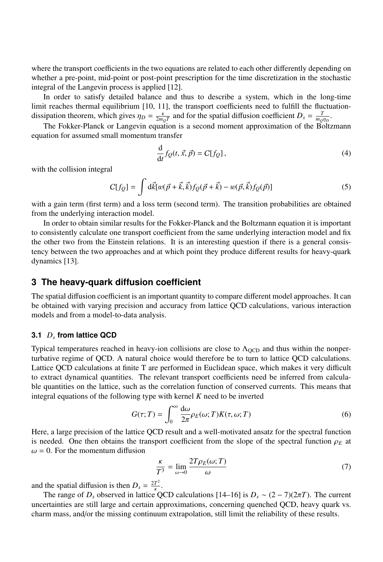where the transport coefficients in the two equations are related to each other differently depending on whether a pre-point, mid-point or post-point prescription for the time discretization in the stochastic integral of the Langevin process is applied [12].

In order to satisfy detailed balance and thus to describe a system, which in the long-time limit reaches thermal equilibrium [10, 11], the transport coefficients need to fulfill the fluctuationdissipation theorem, which gives  $\eta_D = \frac{\kappa}{2m_Q T}$  and for the spatial diffusion coefficient  $D_s = \frac{T}{m_Q \eta_D}$ .<br>The Felsker Blanck or Langaujn equation is a second moment entropyimation of the Balta

*m*<sub>*D*</sub> *m*<sup>*D*</sup> *m*<sup>*D*</sup> *m*<sup>*D*</sup> *m*<sup>*D*</sup> *m*<sup>*D*</sup> *m*<sup>*D*</sup> *m*<sup>*D*</sup> *m*<sup>*D*</sup> *m*<sup>*D*</sup> *m*<sup>*D*</sup> *m*<sup>*D*</sup> *m*<sup>*D*</sup> *m*<sup>*D*</sup> *m*<sup>*D*</sup> *m*<sup>*D*</sup> *m*<sup>*D*</sup> *m*<sup>*D*</sup> *m*<sup>*D*</sup> *m*<sup>*D*</sup> *m*<sup>*D*</sup> *m*<sup>*D*</sup> *m*<sup>*D*</sup> *m*<sup>*D*</sup> *m*<sup>*</sup>* equation for assumed small momentum transfer

$$
\frac{\mathrm{d}}{\mathrm{d}t} f_Q(t, \vec{x}, \vec{p}) = C[f_Q],\tag{4}
$$

with the collision integral

$$
C[f_Q] = \int d\vec{k} [w(\vec{p} + \vec{k}, \vec{k}) f_Q(\vec{p} + \vec{k}) - w(\vec{p}, \vec{k}) f_Q(\vec{p})]
$$
(5)

with a gain term (first term) and a loss term (second term). The transition probabilities are obtained from the underlying interaction model.

In order to obtain similar results for the Fokker-Planck and the Boltzmann equation it is important to consistently calculate one transport coefficient from the same underlying interaction model and fix the other two from the Einstein relations. It is an interesting question if there is a general consistency between the two approaches and at which point they produce different results for heavy-quark dynamics [13].

### **3 The heavy-quark diffusion coefficient**

The spatial diffusion coefficient is an important quantity to compare different model approaches. It can be obtained with varying precision and accuracy from lattice QCD calculations, various interaction models and from a model-to-data analysis.

#### **3.1** *D<sup>s</sup>* **from lattice QCD**

Typical temperatures reached in heavy-ion collisions are close to  $\Lambda_{\text{QCD}}$  and thus within the nonperturbative regime of QCD. A natural choice would therefore be to turn to lattice QCD calculations. Lattice QCD calculations at finite T are performed in Euclidean space, which makes it very difficult to extract dynamical quantities. The relevant transport coefficients need be inferred from calculable quantities on the lattice, such as the correlation function of conserved currents. This means that integral equations of the following type with kernel *K* need to be inverted

$$
G(\tau;T) = \int_0^\infty \frac{d\omega}{2\pi} \rho_E(\omega;T) K(\tau,\omega;T)
$$
\n(6)

Here, a large precision of the lattice QCD result and a well-motivated ansatz for the spectral function is needed. One then obtains the transport coefficient from the slope of the spectral function  $\rho_E$  at  $\omega = 0$ . For the momentum diffusion

$$
\frac{\kappa}{T^3} = \lim_{\omega \to 0} \frac{2T \rho_E(\omega; T)}{\omega} \tag{7}
$$

and the spatial diffusion is then  $D_s = \frac{2T^2}{\kappa}$ .

The range of *D<sub>s</sub>* observed in lattice QCD calculations [14–16] is  $D_s \sim (2 - 7)(2\pi T)$ . The current establishes are still large and certain approximations, concerning quenched QCD, heavy quark vs. uncertainties are still large and certain approximations, concerning quenched QCD, heavy quark vs. charm mass, and/or the missing continuum extrapolation, still limit the reliability of these results.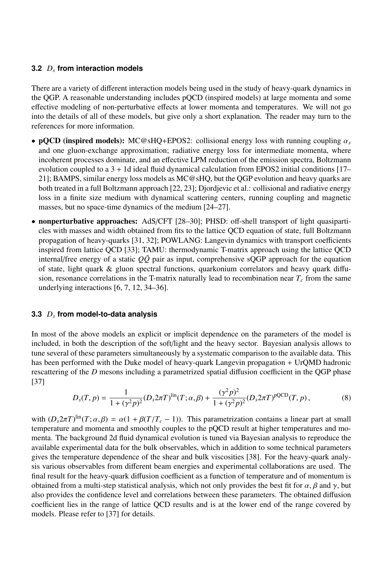#### **3.2** *D<sup>s</sup>* **from interaction models**

There are a variety of different interaction models being used in the study of heavy-quark dynamics in the QGP. A reasonable understanding includes pQCD (inspired models) at large momenta and some effective modeling of non-perturbative effects at lower momenta and temperatures. We will not go into the details of all of these models, but give only a short explanation. The reader may turn to the references for more information.

- pQCD (inspired models): MC@sHQ+EPOS2: collisional energy loss with running coupling  $\alpha_s$ and one gluon-exchange approximation; radiative energy loss for intermediate momenta, where incoherent processes dominate, and an effective LPM reduction of the emission spectra, Boltzmann evolution coupled to a  $3 + 1d$  ideal fluid dynamical calculation from EPOS2 initial conditions [17– 21]; BAMPS, similar energy loss models as MC@sHQ, but the QGP evolution and heavy quarks are both treated in a full Boltzmann approach [22, 23]; Djordjevic et al.: collisional and radiative energy loss in a finite size medium with dynamical scattering centers, running coupling and magnetic masses, but no space-time dynamics of the medium [24–27].
- nonperturbative approaches: AdS/CFT [28–30]; PHSD: off-shell transport of light quasiparticles with masses and width obtained from fits to the lattice QCD equation of state, full Boltzmann propagation of heavy-quarks [31, 32]; POWLANG: Langevin dynamics with transport coefficients inspired from lattice QCD [33]; TAMU: thermodynamic T-matrix approach using the lattice QCD internal/free energy of a static  $Q\bar{Q}$  pair as input, comprehensive sQGP approach for the equation of state, light quark & gluon spectral functions, quarkonium correlators and heavy quark diffusion, resonance correlations in the T-matrix naturally lead to recombination near  $T_c$  from the same underlying interactions [6, 7, 12, 34–36].

### **3.3** *D<sup>s</sup>* **from model-to-data analysis**

In most of the above models an explicit or implicit dependence on the parameters of the model is included, in both the description of the soft/light and the heavy sector. Bayesian analysis allows to tune several of these parameters simultaneously by a systematic comparison to the available data. This has been performed with the Duke model of heavy-quark Langevin propagation + UrQMD hadronic rescattering of the *D* mesons including a parametrized spatial diffusion coefficient in the QGP phase [37]

$$
D_s(T, p) = \frac{1}{1 + (\gamma^2 p)^2} (D_s 2\pi T)^{\text{lin}}(T; \alpha, \beta) + \frac{(\gamma^2 p)^2}{1 + (\gamma^2 p)^2} (D_s 2\pi T)^{\text{pQCD}}(T, p),
$$
(8)

with  $(D_s 2\pi T)^{\text{lin}}(T; \alpha, \beta) = \alpha(1 + \beta(T/T_c - 1))$ . This parametrization contains a linear part at small<br>temperature and momenta and smoothly couples to the pOCD result at higher temperatures and motemperature and momenta and smoothly couples to the pQCD result at higher temperatures and momenta. The background 2d fluid dynamical evolution is tuned via Bayesian analysis to reproduce the available experimental data for the bulk observables, which in addition to some technical parameters gives the temperature dependence of the shear and bulk viscosities [38]. For the heavy-quark analysis various observables from different beam energies and experimental collaborations are used. The final result for the heavy-quark diffusion coefficient as a function of temperature and of momentum is obtained from a multi-step statistical analysis, which not only provides the best fit for  $\alpha$ ,  $\beta$  and  $\gamma$ , but also provides the confidence level and correlations between these parameters. The obtained diffusion coefficient lies in the range of lattice QCD results and is at the lower end of the range covered by models. Please refer to [37] for details.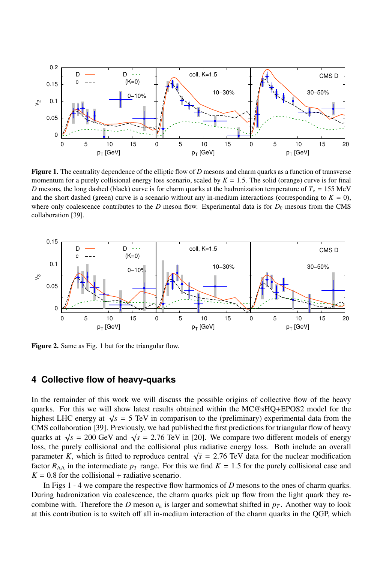

Figure 1. The centrality dependence of the elliptic flow of *D* mesons and charm quarks as a function of transverse momentum for a purely collisional energy loss scenario, scaled by  $K = 1.5$ . The solid (orange) curve is for final *D* mesons, the long dashed (black) curve is for charm quarks at the hadronization temperature of  $T_c = 155$  MeV and the short dashed (green) curve is a scenario without any in-medium interactions (corresponding to  $K = 0$ ), where only coalescence contributes to the *D* meson flow. Experimental data is for  $D_0$  mesons from the CMS collaboration [39].



Figure 2. Same as Fig. 1 but for the triangular flow.

## **4 Collective flow of heavy-quarks**

In the remainder of this work we will discuss the possible origins of collective flow of the heavy quarks. For this we will show latest results obtained within the MC@sHQ+EPOS2 model for the  $h$ guarks. For this we will show fatest results obtained within the MCC sHQ+EPOS2 model for the highest LHC energy at  $\sqrt{s} = 5$  TeV in comparison to the (preliminary) experimental data from the CMS collaboration [39]. Previously, we had published the first predictions for triangular flow of heavy  $\sqrt{s}$  = 200 GeV and  $\sqrt{s}$  = 2.76 TeV in [20]. We compare two different models of energy quarks at  $\sqrt{s}$  = 2.00 GeV and  $\sqrt{s}$  = 2.76 TeV in [20]. We compare two different models of energy places the purely collisional loss, the purely collisional and the collisional plus radiative energy loss. Both include an overall parameter *K*, which is fitted to reproduce central  $\sqrt{s} = 2.76$  TeV data for the nuclear modification parameter *K*, which is fitted to reproduce central  $\sqrt{s} = 2.76$  TeV data for the nuclear modification factor *R*<sub>th</sub> factor  $R_{AA}$  in the intermediate  $p_T$  range. For this we find  $K = 1.5$  for the purely collisional case and  $K = 0.8$  for the collisional + radiative scenario.

In Figs 1 - 4 we compare the respective flow harmonics of *D* mesons to the ones of charm quarks. During hadronization via coalescence, the charm quarks pick up flow from the light quark they recombine with. Therefore the *D* meson  $v_n$  is larger and somewhat shifted in  $p_T$ . Another way to look at this contribution is to switch off all in-medium interaction of the charm quarks in the QGP, which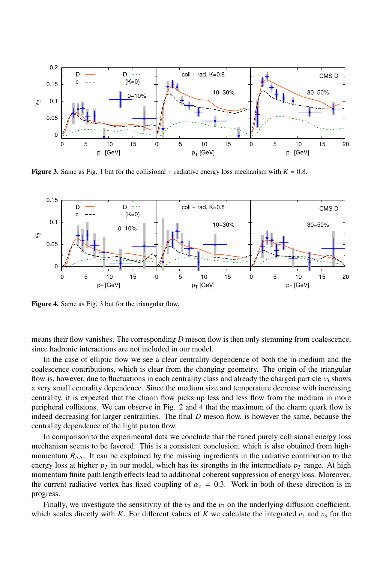

**Figure 3.** Same as Fig. 1 but for the collisional + radiative energy loss mechanism with  $K = 0.8$ .



Figure 4. Same as Fig. 3 but for the triangular flow.

means their flow vanishes. The corresponding *D* meson flow is then only stemming from coalescence, since hadronic interactions are not included in our model.

In the case of elliptic flow we see a clear centrality dependence of both the in-medium and the coalescence contributions, which is clear from the changing geometry. The origin of the triangular flow is, however, due to fluctuations in each centrality class and already the charged particle  $v_3$  shows a very small centrality dependence. Since the medium size and temperature decrease with increasing centrality, it is expected that the charm flow picks up less and less flow from the medium in more peripheral collisions. We can observe in Fig. 2 and 4 that the maximum of the charm quark flow is indeed decreasing for larger centralities. The final *D* meson flow, is however the same, because the centrality dependence of the light parton flow.

In comparison to the experimental data we conclude that the tuned purely collisional energy loss mechanism seems to be favored. This is a consistent conclusion, which is also obtained from highmomentum  $R_{AA}$ . It can be explained by the missing ingredients in the radiative contribution to the energy loss at higher  $p<sub>T</sub>$  in our model, which has its strengths in the intermediate  $p<sub>T</sub>$  range. At high momentum finite path length effects lead to additional coherent suppression of energy loss. Moreover, the current radiative vertex has fixed coupling of  $\alpha_s = 0.3$ . Work in both of these direction is in progress.

Finally, we investigate the sensitivity of the  $v_2$  and the  $v_3$  on the underlying diffusion coefficient, which scales directly with *K*. For different values of *K* we calculate the integrated  $v_2$  and  $v_3$  for the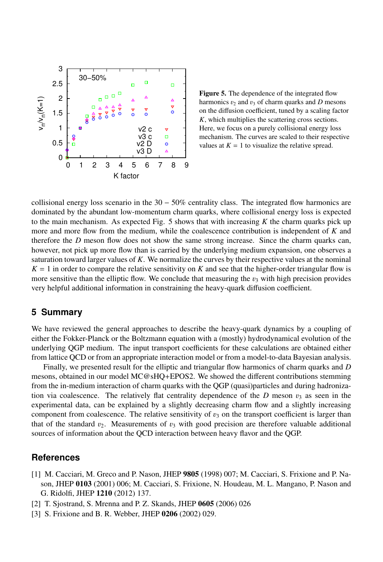

Figure 5. The dependence of the integrated flow harmonics  $v_2$  and  $v_3$  of charm quarks and *D* mesons on the diffusion coefficient, tuned by a scaling factor *K*, which multiplies the scattering cross sections. Here, we focus on a purely collisional energy loss mechanism. The curves are scaled to their respective values at  $K = 1$  to visualize the relative spread.

collisional energy loss scenario in the  $30 - 50\%$  centrality class. The integrated flow harmonics are dominated by the abundant low-momentum charm quarks, where collisional energy loss is expected to the main mechanism. As expected Fig. 5 shows that with increasing *K* the charm quarks pick up more and more flow from the medium, while the coalescence contribution is independent of *K* and therefore the *D* meson flow does not show the same strong increase. Since the charm quarks can, however, not pick up more flow than is carried by the underlying medium expansion, one observes a saturation toward larger values of *K*. We normalize the curves by their respective values at the nominal  $K = 1$  in order to compare the relative sensitivity on *K* and see that the higher-order triangular flow is more sensitive than the elliptic flow. We conclude that measuring the  $v_3$  with high precision provides very helpful additional information in constraining the heavy-quark diffusion coefficient.

### **5 Summary**

We have reviewed the general approaches to describe the heavy-quark dynamics by a coupling of either the Fokker-Planck or the Boltzmann equation with a (mostly) hydrodynamical evolution of the underlying QGP medium. The input transport coefficients for these calculations are obtained either from lattice QCD or from an appropriate interaction model or from a model-to-data Bayesian analysis.

Finally, we presented result for the elliptic and triangular flow harmonics of charm quarks and *D* mesons, obtained in our model MC@sHQ+EPOS2. We showed the different contributions stemming from the in-medium interaction of charm quarks with the QGP (quasi)particles and during hadronization via coalescence. The relatively flat centrality dependence of the *D* meson  $v_3$  as seen in the experimental data, can be explained by a slightly decreasing charm flow and a slightly increasing component from coalescence. The relative sensitivity of  $v_3$  on the transport coefficient is larger than that of the standard  $v_2$ . Measurements of  $v_3$  with good precision are therefore valuable additional sources of information about the QCD interaction between heavy flavor and the QGP.

## **References**

- [1] M. Cacciari, M. Greco and P. Nason, JHEP 9805 (1998) 007; M. Cacciari, S. Frixione and P. Nason, JHEP 0103 (2001) 006; M. Cacciari, S. Frixione, N. Houdeau, M. L. Mangano, P. Nason and G. Ridolfi, JHEP 1210 (2012) 137.
- [2] T. Sjostrand, S. Mrenna and P. Z. Skands, JHEP 0605 (2006) 026
- [3] S. Frixione and B. R. Webber, JHEP 0206 (2002) 029.